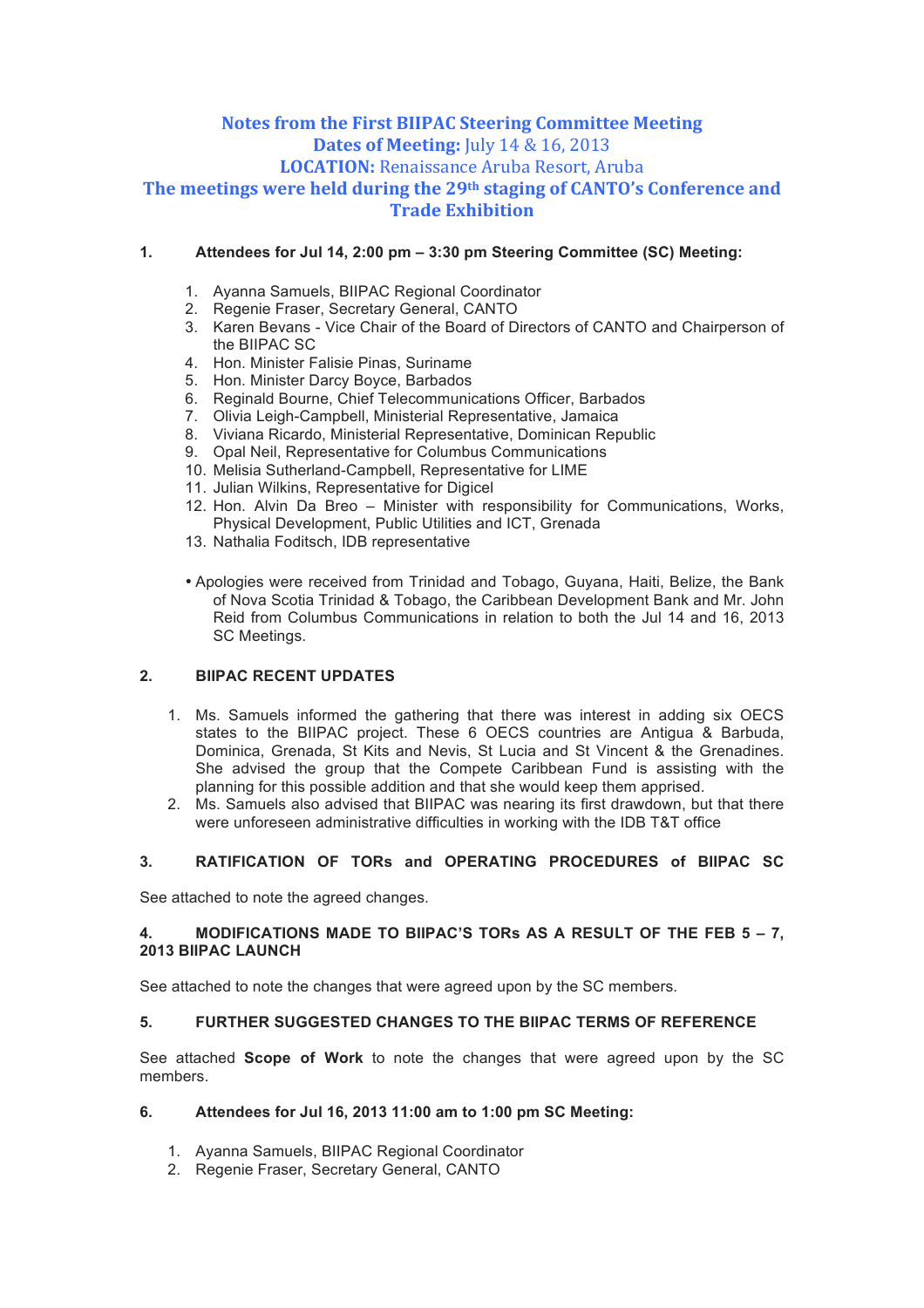# **Notes from the First BIIPAC Steering Committee Meeting Dates of Meeting:** July 14 & 16, 2013 **LOCATION:** Renaissance Aruba Resort, Aruba **The meetings were held during the 29th staging of CANTO's Conference and Trade Exhibition**

### **1. Attendees for Jul 14, 2:00 pm – 3:30 pm Steering Committee (SC) Meeting:**

- 1. Ayanna Samuels, BIIPAC Regional Coordinator
- 2. Regenie Fraser, Secretary General, CANTO
- 3. Karen Bevans Vice Chair of the Board of Directors of CANTO and Chairperson of the BIIPAC SC
- 4. Hon. Minister Falisie Pinas, Suriname
- 5. Hon. Minister Darcy Boyce, Barbados
- 6. Reginald Bourne, Chief Telecommunications Officer, Barbados
- 7. Olivia Leigh-Campbell, Ministerial Representative, Jamaica
- 8. Viviana Ricardo, Ministerial Representative, Dominican Republic
- 9. Opal Neil, Representative for Columbus Communications
- 10. Melisia Sutherland-Campbell, Representative for LIME
- 11. Julian Wilkins, Representative for Digicel
- 12. Hon. Alvin Da Breo Minister with responsibility for Communications, Works, Physical Development, Public Utilities and ICT, Grenada
- 13. Nathalia Foditsch, IDB representative
- Apologies were received from Trinidad and Tobago, Guyana, Haiti, Belize, the Bank of Nova Scotia Trinidad & Tobago, the Caribbean Development Bank and Mr. John Reid from Columbus Communications in relation to both the Jul 14 and 16, 2013 SC Meetings.

### **2. BIIPAC RECENT UPDATES**

- 1. Ms. Samuels informed the gathering that there was interest in adding six OECS states to the BIIPAC project. These 6 OECS countries are Antigua & Barbuda, Dominica, Grenada, St Kits and Nevis, St Lucia and St Vincent & the Grenadines. She advised the group that the Compete Caribbean Fund is assisting with the planning for this possible addition and that she would keep them apprised.
- 2. Ms. Samuels also advised that BIIPAC was nearing its first drawdown, but that there were unforeseen administrative difficulties in working with the IDB T&T office

### **3. RATIFICATION OF TORs and OPERATING PROCEDURES of BIIPAC SC**

See attached to note the agreed changes.

### **4. MODIFICATIONS MADE TO BIIPAC'S TORs AS A RESULT OF THE FEB 5 – 7, 2013 BIIPAC LAUNCH**

See attached to note the changes that were agreed upon by the SC members.

#### **5. FURTHER SUGGESTED CHANGES TO THE BIIPAC TERMS OF REFERENCE**

See attached **Scope of Work** to note the changes that were agreed upon by the SC members.

### **6. Attendees for Jul 16, 2013 11:00 am to 1:00 pm SC Meeting:**

- 1. Ayanna Samuels, BIIPAC Regional Coordinator
- 2. Regenie Fraser, Secretary General, CANTO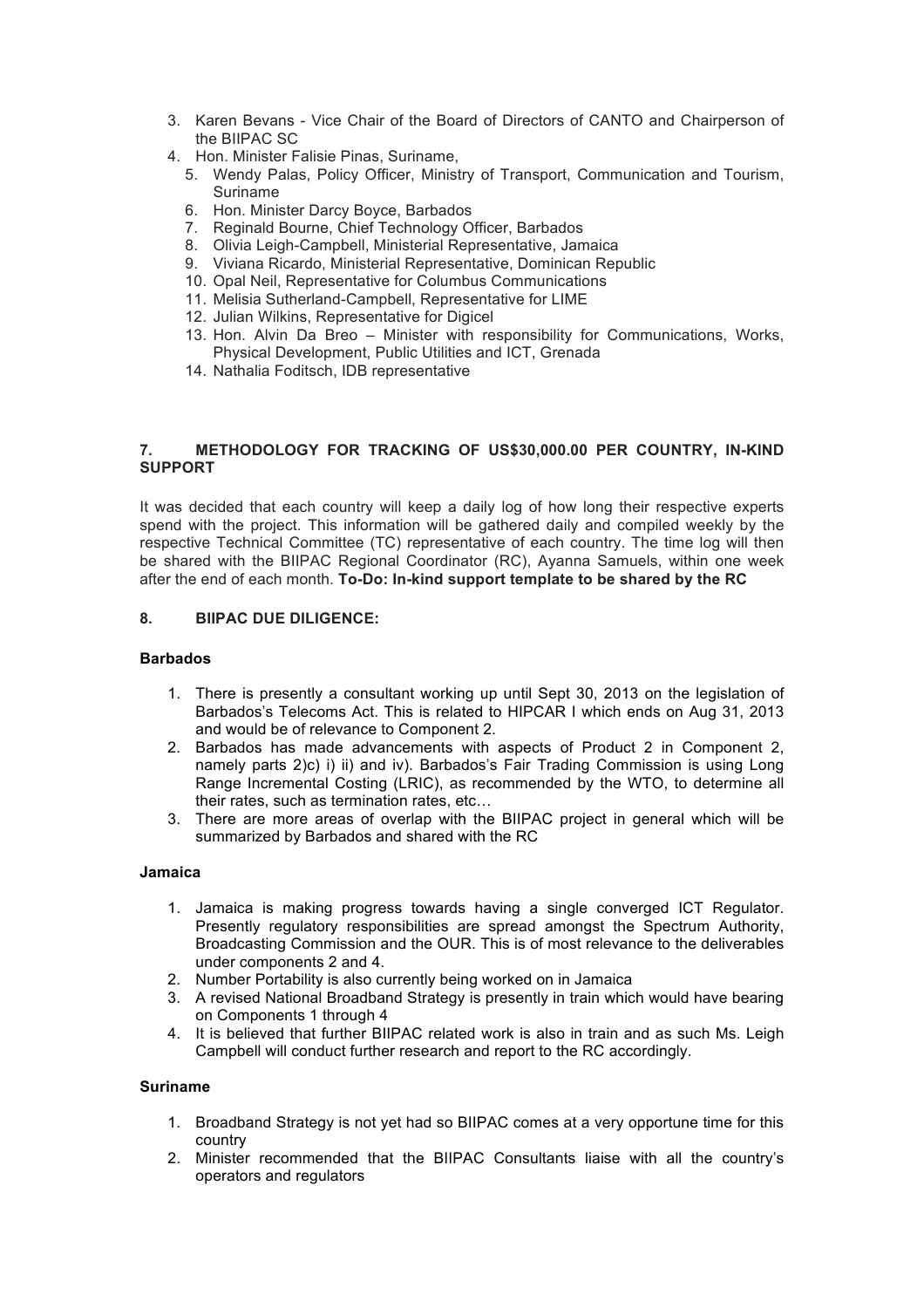- 3. Karen Bevans Vice Chair of the Board of Directors of CANTO and Chairperson of the BIIPAC SC
- 4. Hon. Minister Falisie Pinas, Suriname,
	- 5. Wendy Palas, Policy Officer, Ministry of Transport, Communication and Tourism, Suriname
	- 6. Hon. Minister Darcy Boyce, Barbados
	- 7. Reginald Bourne, Chief Technology Officer, Barbados
	- 8. Olivia Leigh-Campbell, Ministerial Representative, Jamaica
	- 9. Viviana Ricardo, Ministerial Representative, Dominican Republic
	- 10. Opal Neil, Representative for Columbus Communications
	- 11. Melisia Sutherland-Campbell, Representative for LIME
	- 12. Julian Wilkins, Representative for Digicel
	- 13. Hon. Alvin Da Breo Minister with responsibility for Communications, Works, Physical Development, Public Utilities and ICT, Grenada
	- 14. Nathalia Foditsch, IDB representative

### **7. METHODOLOGY FOR TRACKING OF US\$30,000.00 PER COUNTRY, IN-KIND SUPPORT**

It was decided that each country will keep a daily log of how long their respective experts spend with the project. This information will be gathered daily and compiled weekly by the respective Technical Committee (TC) representative of each country. The time log will then be shared with the BIIPAC Regional Coordinator (RC), Ayanna Samuels, within one week after the end of each month. **To-Do: In-kind support template to be shared by the RC**

### **8. BIIPAC DUE DILIGENCE:**

### **Barbados**

- 1. There is presently a consultant working up until Sept 30, 2013 on the legislation of Barbados's Telecoms Act. This is related to HIPCAR I which ends on Aug 31, 2013 and would be of relevance to Component 2.
- 2. Barbados has made advancements with aspects of Product 2 in Component 2, namely parts 2)c) i) ii) and iv). Barbados's Fair Trading Commission is using Long Range Incremental Costing (LRIC), as recommended by the WTO, to determine all their rates, such as termination rates, etc…
- 3. There are more areas of overlap with the BIIPAC project in general which will be summarized by Barbados and shared with the RC

#### **Jamaica**

- 1. Jamaica is making progress towards having a single converged ICT Regulator. Presently regulatory responsibilities are spread amongst the Spectrum Authority, Broadcasting Commission and the OUR. This is of most relevance to the deliverables under components 2 and 4.
- 2. Number Portability is also currently being worked on in Jamaica
- 3. A revised National Broadband Strategy is presently in train which would have bearing on Components 1 through 4
- 4. It is believed that further BIIPAC related work is also in train and as such Ms. Leigh Campbell will conduct further research and report to the RC accordingly.

#### **Suriname**

- 1. Broadband Strategy is not yet had so BIIPAC comes at a very opportune time for this country
- 2. Minister recommended that the BIIPAC Consultants liaise with all the country's operators and regulators